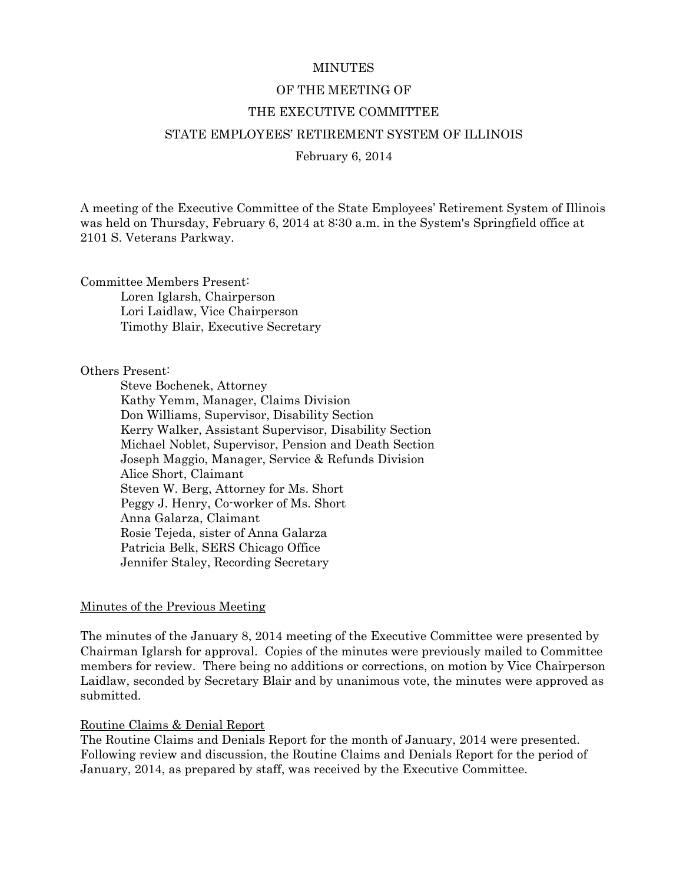#### **MINUTES**

### OF THE MEETING OF

#### THE EXECUTIVE COMMITTEE

### STATE EMPLOYEES' RETIREMENT SYSTEM OF ILLINOIS

February 6, 2014

A meeting of the Executive Committee of the State Employees' Retirement System of Illinois was held on Thursday, February 6, 2014 at 8:30 a.m. in the System's Springfield office at 2101 S. Veterans Parkway.

Committee Members Present: Loren Iglarsh, Chairperson Lori Laidlaw, Vice Chairperson Timothy Blair, Executive Secretary

#### Others Present:

 Steve Bochenek, Attorney Kathy Yemm, Manager, Claims Division Don Williams, Supervisor, Disability Section Kerry Walker, Assistant Supervisor, Disability Section Michael Noblet, Supervisor, Pension and Death Section Joseph Maggio, Manager, Service & Refunds Division Alice Short, Claimant Steven W. Berg, Attorney for Ms. Short Peggy J. Henry, Co-worker of Ms. Short Anna Galarza, Claimant Rosie Tejeda, sister of Anna Galarza Patricia Belk, SERS Chicago Office Jennifer Staley, Recording Secretary

### Minutes of the Previous Meeting

The minutes of the January 8, 2014 meeting of the Executive Committee were presented by Chairman Iglarsh for approval. Copies of the minutes were previously mailed to Committee members for review. There being no additions or corrections, on motion by Vice Chairperson Laidlaw, seconded by Secretary Blair and by unanimous vote, the minutes were approved as submitted.

### Routine Claims & Denial Report

The Routine Claims and Denials Report for the month of January, 2014 were presented. Following review and discussion, the Routine Claims and Denials Report for the period of January, 2014, as prepared by staff, was received by the Executive Committee.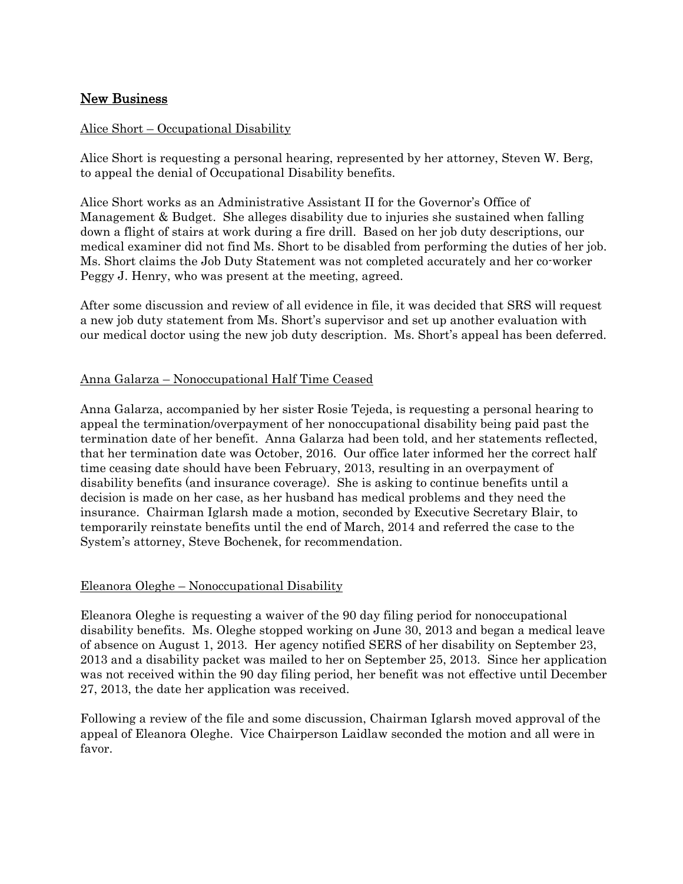# New Business

### Alice Short – Occupational Disability

Alice Short is requesting a personal hearing, represented by her attorney, Steven W. Berg, to appeal the denial of Occupational Disability benefits.

Alice Short works as an Administrative Assistant II for the Governor's Office of Management & Budget. She alleges disability due to injuries she sustained when falling down a flight of stairs at work during a fire drill. Based on her job duty descriptions, our medical examiner did not find Ms. Short to be disabled from performing the duties of her job. Ms. Short claims the Job Duty Statement was not completed accurately and her co-worker Peggy J. Henry, who was present at the meeting, agreed.

After some discussion and review of all evidence in file, it was decided that SRS will request a new job duty statement from Ms. Short's supervisor and set up another evaluation with our medical doctor using the new job duty description. Ms. Short's appeal has been deferred.

## Anna Galarza – Nonoccupational Half Time Ceased

Anna Galarza, accompanied by her sister Rosie Tejeda, is requesting a personal hearing to appeal the termination/overpayment of her nonoccupational disability being paid past the termination date of her benefit. Anna Galarza had been told, and her statements reflected, that her termination date was October, 2016. Our office later informed her the correct half time ceasing date should have been February, 2013, resulting in an overpayment of disability benefits (and insurance coverage). She is asking to continue benefits until a decision is made on her case, as her husband has medical problems and they need the insurance. Chairman Iglarsh made a motion, seconded by Executive Secretary Blair, to temporarily reinstate benefits until the end of March, 2014 and referred the case to the System's attorney, Steve Bochenek, for recommendation.

### Eleanora Oleghe – Nonoccupational Disability

Eleanora Oleghe is requesting a waiver of the 90 day filing period for nonoccupational disability benefits. Ms. Oleghe stopped working on June 30, 2013 and began a medical leave of absence on August 1, 2013. Her agency notified SERS of her disability on September 23, 2013 and a disability packet was mailed to her on September 25, 2013. Since her application was not received within the 90 day filing period, her benefit was not effective until December 27, 2013, the date her application was received.

Following a review of the file and some discussion, Chairman Iglarsh moved approval of the appeal of Eleanora Oleghe. Vice Chairperson Laidlaw seconded the motion and all were in favor.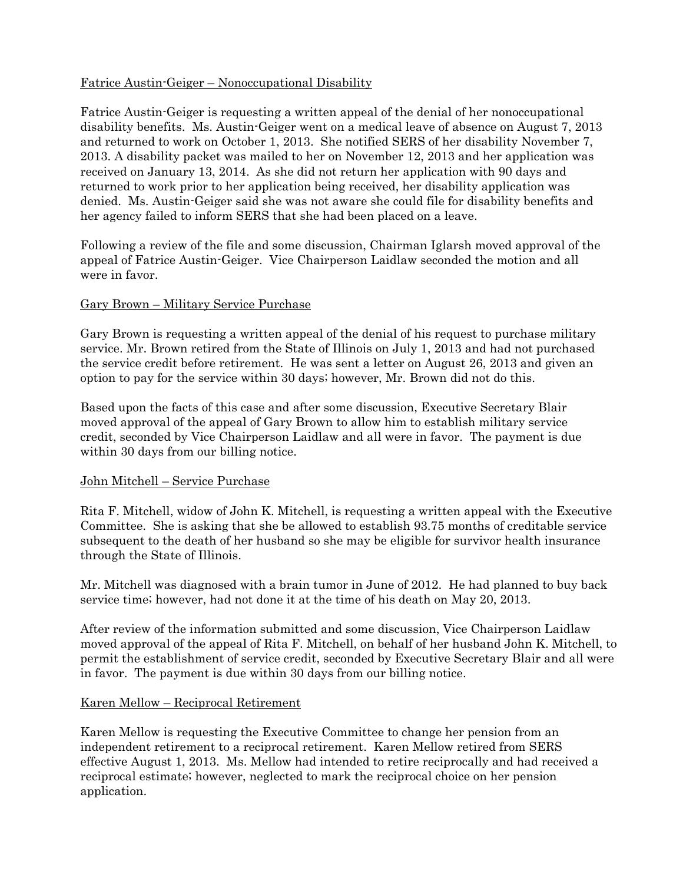# Fatrice Austin-Geiger – Nonoccupational Disability

Fatrice Austin-Geiger is requesting a written appeal of the denial of her nonoccupational disability benefits. Ms. Austin-Geiger went on a medical leave of absence on August 7, 2013 and returned to work on October 1, 2013. She notified SERS of her disability November 7, 2013. A disability packet was mailed to her on November 12, 2013 and her application was received on January 13, 2014. As she did not return her application with 90 days and returned to work prior to her application being received, her disability application was denied. Ms. Austin-Geiger said she was not aware she could file for disability benefits and her agency failed to inform SERS that she had been placed on a leave.

Following a review of the file and some discussion, Chairman Iglarsh moved approval of the appeal of Fatrice Austin-Geiger. Vice Chairperson Laidlaw seconded the motion and all were in favor.

## Gary Brown – Military Service Purchase

Gary Brown is requesting a written appeal of the denial of his request to purchase military service. Mr. Brown retired from the State of Illinois on July 1, 2013 and had not purchased the service credit before retirement. He was sent a letter on August 26, 2013 and given an option to pay for the service within 30 days; however, Mr. Brown did not do this.

Based upon the facts of this case and after some discussion, Executive Secretary Blair moved approval of the appeal of Gary Brown to allow him to establish military service credit, seconded by Vice Chairperson Laidlaw and all were in favor. The payment is due within 30 days from our billing notice.

### John Mitchell – Service Purchase

Rita F. Mitchell, widow of John K. Mitchell, is requesting a written appeal with the Executive Committee. She is asking that she be allowed to establish 93.75 months of creditable service subsequent to the death of her husband so she may be eligible for survivor health insurance through the State of Illinois.

Mr. Mitchell was diagnosed with a brain tumor in June of 2012. He had planned to buy back service time; however, had not done it at the time of his death on May 20, 2013.

After review of the information submitted and some discussion, Vice Chairperson Laidlaw moved approval of the appeal of Rita F. Mitchell, on behalf of her husband John K. Mitchell, to permit the establishment of service credit, seconded by Executive Secretary Blair and all were in favor. The payment is due within 30 days from our billing notice.

### Karen Mellow – Reciprocal Retirement

Karen Mellow is requesting the Executive Committee to change her pension from an independent retirement to a reciprocal retirement. Karen Mellow retired from SERS effective August 1, 2013. Ms. Mellow had intended to retire reciprocally and had received a reciprocal estimate; however, neglected to mark the reciprocal choice on her pension application.